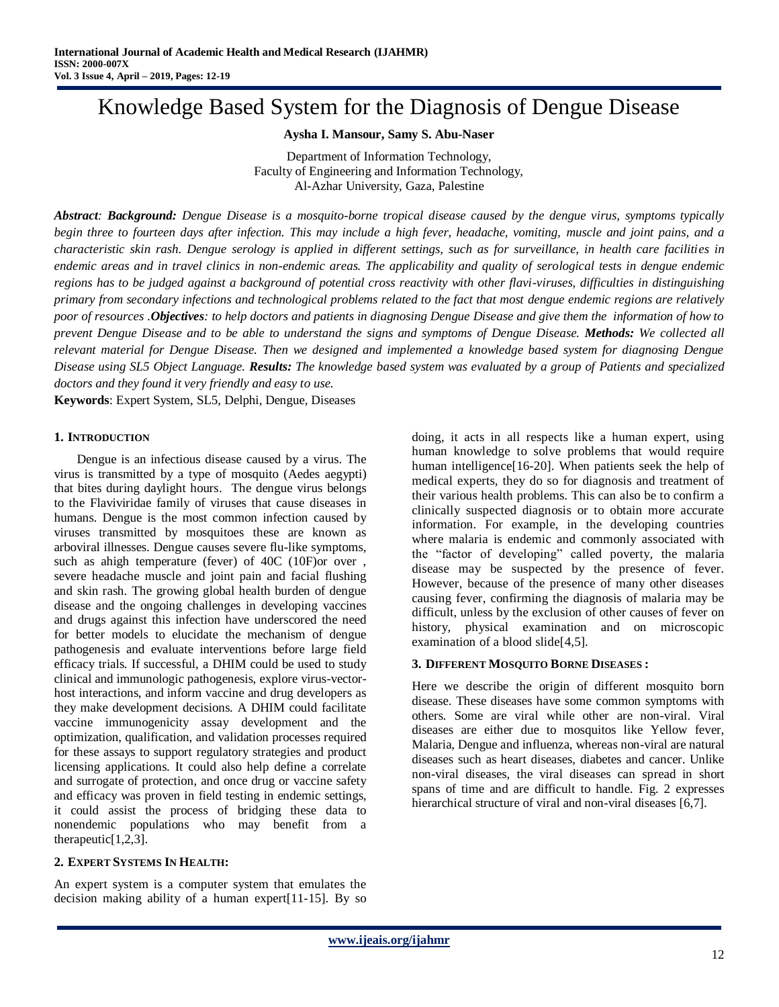# Knowledge Based System for the Diagnosis of Dengue Disease

#### **Aysha I. Mansour, Samy S. Abu-Naser**

Department of Information Technology, Faculty of Engineering and Information Technology, Al-Azhar University, Gaza, Palestine

*Abstract: Background: Dengue Disease is a mosquito-borne tropical disease caused by the dengue virus, symptoms typically begin three to fourteen days after infection. This may include a high fever, headache, vomiting, muscle and joint pains, and a characteristic skin rash. Dengue serology is applied in different settings, such as for surveillance, in health care facilities in endemic areas and in travel clinics in non-endemic areas. The applicability and quality of serological tests in dengue endemic regions has to be judged against a background of potential cross reactivity with other flavi-viruses, difficulties in distinguishing primary from secondary infections and technological problems related to the fact that most dengue endemic regions are relatively poor of resources .Objectives: to help doctors and patients in diagnosing Dengue Disease and give them the information of how to prevent Dengue Disease and to be able to understand the signs and symptoms of Dengue Disease. Methods: We collected all relevant material for Dengue Disease. Then we designed and implemented a knowledge based system for diagnosing Dengue Disease using SL5 Object Language. Results: The knowledge based system was evaluated by a group of Patients and specialized doctors and they found it very friendly and easy to use.*

**Keywords**: Expert System, SL5, Delphi, Dengue, Diseases

#### **1. INTRODUCTION**

Dengue is an infectious disease caused by a virus. The virus is transmitted by a type of mosquito (Aedes aegypti) that bites during daylight hours. The dengue virus belongs to the Flaviviridae family of viruses that cause diseases in humans. Dengue is the most common infection caused by viruses transmitted by mosquitoes these are known as arboviral illnesses. Dengue causes severe flu-like symptoms, such as ahigh temperature (fever) of 40C (10F)or over , severe headache muscle and joint pain and facial flushing and skin rash. The growing global health burden of dengue disease and the ongoing challenges in developing vaccines and drugs against this infection have underscored the need for better models to elucidate the mechanism of dengue pathogenesis and evaluate interventions before large field efficacy trials. If successful, a DHIM could be used to study clinical and immunologic pathogenesis, explore virus-vectorhost interactions, and inform vaccine and drug developers as they make development decisions. A DHIM could facilitate vaccine immunogenicity assay development and the optimization, qualification, and validation processes required for these assays to support regulatory strategies and product licensing applications. It could also help define a correlate and surrogate of protection, and once drug or vaccine safety and efficacy was proven in field testing in endemic settings, it could assist the process of bridging these data to nonendemic populations who may benefit from a therapeutic[1,2,3].

## **2. EXPERT SYSTEMS IN HEALTH:**

An expert system is a computer system that emulates the decision making ability of a human expert[11-15]. By so

doing, it acts in all respects like a human expert, using human knowledge to solve problems that would require human intelligence<sup>[16-20]</sup>. When patients seek the help of medical experts, they do so for diagnosis and treatment of their various health problems. This can also be to confirm a clinically suspected diagnosis or to obtain more accurate information. For example, in the developing countries where malaria is endemic and commonly associated with the "factor of developing" called poverty, the malaria disease may be suspected by the presence of fever. However, because of the presence of many other diseases causing fever, confirming the diagnosis of malaria may be difficult, unless by the exclusion of other causes of fever on history, physical examination and on microscopic examination of a blood slide[4,5].

## **3. DIFFERENT MOSQUITO BORNE DISEASES :**

Here we describe the origin of different mosquito born disease. These diseases have some common symptoms with others. Some are viral while other are non-viral. Viral diseases are either due to mosquitos like Yellow fever, Malaria, Dengue and influenza, whereas non-viral are natural diseases such as heart diseases, diabetes and cancer. Unlike non-viral diseases, the viral diseases can spread in short spans of time and are difficult to handle. Fig. 2 expresses hierarchical structure of viral and non-viral diseases [6,7].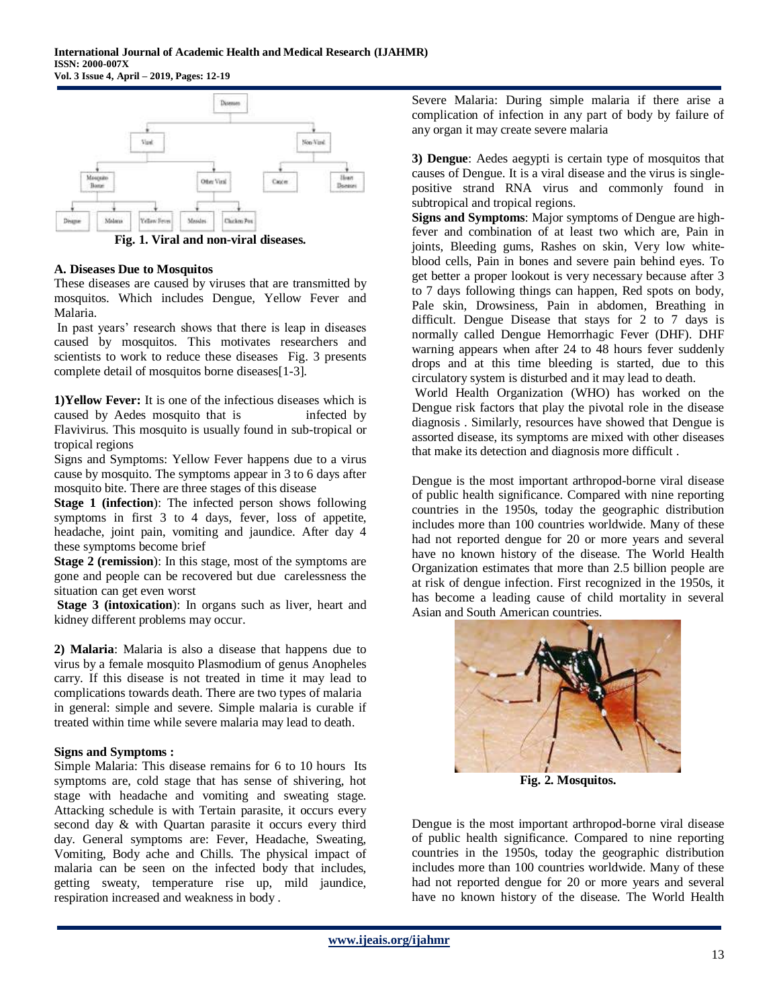

**Fig. 1. Viral and non-viral diseases.**

## **A. Diseases Due to Mosquitos**

These diseases are caused by viruses that are transmitted by mosquitos. Which includes Dengue, Yellow Fever and Malaria.

In past years' research shows that there is leap in diseases caused by mosquitos. This motivates researchers and scientists to work to reduce these diseases Fig. 3 presents complete detail of mosquitos borne diseases[1-3].

**1)Yellow Fever:** It is one of the infectious diseases which is caused by Aedes mosquito that is infected by Flavivirus. This mosquito is usually found in sub-tropical or tropical regions

Signs and Symptoms: Yellow Fever happens due to a virus cause by mosquito. The symptoms appear in 3 to 6 days after mosquito bite. There are three stages of this disease

**Stage 1 (infection**): The infected person shows following symptoms in first 3 to 4 days, fever, loss of appetite, headache, joint pain, vomiting and jaundice. After day 4 these symptoms become brief

**Stage 2 (remission**): In this stage, most of the symptoms are gone and people can be recovered but due carelessness the situation can get even worst

**Stage 3 (intoxication**): In organs such as liver, heart and kidney different problems may occur.

**2) Malaria**: Malaria is also a disease that happens due to virus by a female mosquito Plasmodium of genus Anopheles carry. If this disease is not treated in time it may lead to complications towards death. There are two types of malaria in general: simple and severe. Simple malaria is curable if treated within time while severe malaria may lead to death.

## **Signs and Symptoms :**

Simple Malaria: This disease remains for 6 to 10 hours Its symptoms are, cold stage that has sense of shivering, hot stage with headache and vomiting and sweating stage. Attacking schedule is with Tertain parasite, it occurs every second day & with Quartan parasite it occurs every third day. General symptoms are: Fever, Headache, Sweating, Vomiting, Body ache and Chills. The physical impact of malaria can be seen on the infected body that includes, getting sweaty, temperature rise up, mild jaundice, respiration increased and weakness in body .

Severe Malaria: During simple malaria if there arise a complication of infection in any part of body by failure of any organ it may create severe malaria

**3) Dengue**: Aedes aegypti is certain type of mosquitos that causes of Dengue. It is a viral disease and the virus is singlepositive strand RNA virus and commonly found in subtropical and tropical regions.

**Signs and Symptoms**: Major symptoms of Dengue are highfever and combination of at least two which are, Pain in joints, Bleeding gums, Rashes on skin, Very low whiteblood cells, Pain in bones and severe pain behind eyes. To get better a proper lookout is very necessary because after 3 to 7 days following things can happen, Red spots on body, Pale skin, Drowsiness, Pain in abdomen, Breathing in difficult. Dengue Disease that stays for 2 to 7 days is normally called Dengue Hemorrhagic Fever (DHF). DHF warning appears when after 24 to 48 hours fever suddenly drops and at this time bleeding is started, due to this circulatory system is disturbed and it may lead to death.

World Health Organization (WHO) has worked on the Dengue risk factors that play the pivotal role in the disease diagnosis . Similarly, resources have showed that Dengue is assorted disease, its symptoms are mixed with other diseases that make its detection and diagnosis more difficult .

Dengue is the most important arthropod-borne viral disease of public health significance. Compared with nine reporting countries in the 1950s, today the geographic distribution includes more than 100 countries worldwide. Many of these had not reported dengue for 20 or more years and several have no known history of the disease. The World Health Organization estimates that more than 2.5 billion people are at risk of dengue infection. First recognized in the 1950s, it has become a leading cause of child mortality in several Asian and South American countries.



**Fig. 2. Mosquitos.**

Dengue is the most important arthropod-borne viral disease of public health significance. Compared to nine reporting countries in the 1950s, today the geographic distribution includes more than 100 countries worldwide. Many of these had not reported dengue for 20 or more years and several have no known history of the disease. The World Health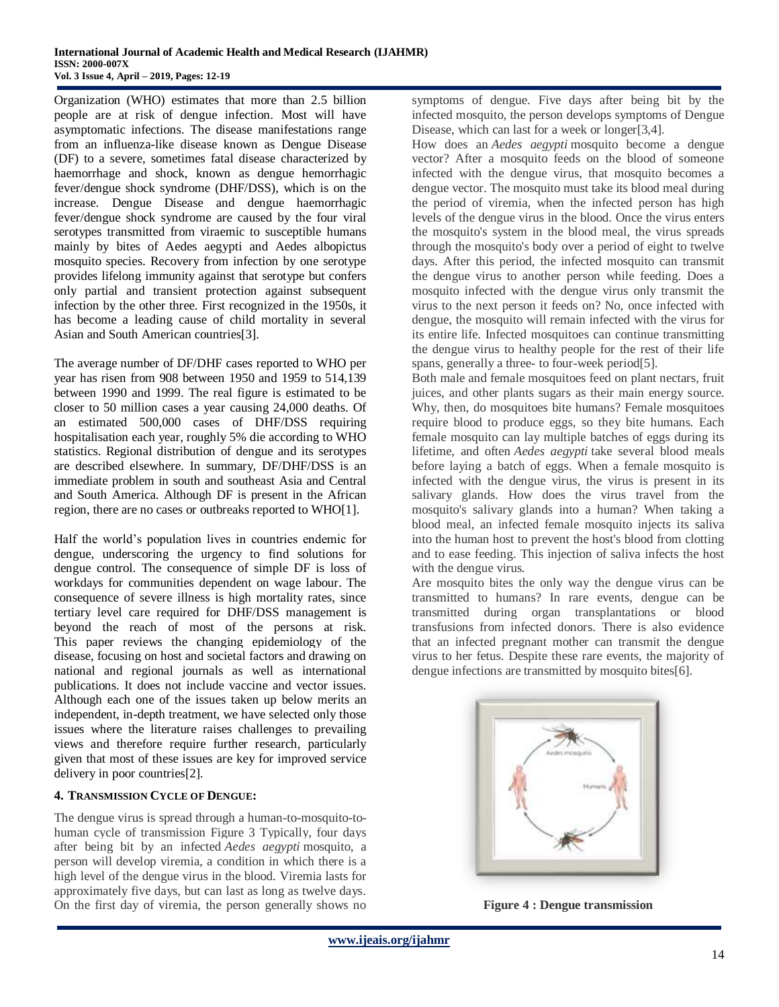Organization (WHO) estimates that more than 2.5 billion people are at risk of dengue infection. Most will have asymptomatic infections. The disease manifestations range from an influenza-like disease known as Dengue Disease (DF) to a severe, sometimes fatal disease characterized by haemorrhage and shock, known as dengue hemorrhagic fever/dengue shock syndrome (DHF/DSS), which is on the increase. Dengue Disease and dengue haemorrhagic fever/dengue shock syndrome are caused by the four viral serotypes transmitted from viraemic to susceptible humans mainly by bites of Aedes aegypti and Aedes albopictus mosquito species. Recovery from infection by one serotype provides lifelong immunity against that serotype but confers only partial and transient protection against subsequent infection by the other three. First recognized in the 1950s, it has become a leading cause of child mortality in several Asian and South American countries[3].

The average number of DF/DHF cases reported to WHO per year has risen from 908 between 1950 and 1959 to 514,139 between 1990 and 1999. The real figure is estimated to be closer to 50 million cases a year causing 24,000 deaths. Of an estimated 500,000 cases of DHF/DSS requiring hospitalisation each year, roughly 5% die according to WHO statistics. Regional distribution of dengue and its serotypes are described elsewhere. In summary, DF/DHF/DSS is an immediate problem in south and southeast Asia and Central and South America. Although DF is present in the African region, there are no cases or outbreaks reported to WHO[1].

Half the world's population lives in countries endemic for dengue, underscoring the urgency to find solutions for dengue control. The consequence of simple DF is loss of workdays for communities dependent on wage labour. The consequence of severe illness is high mortality rates, since tertiary level care required for DHF/DSS management is beyond the reach of most of the persons at risk. This paper reviews the changing epidemiology of the disease, focusing on host and societal factors and drawing on national and regional journals as well as international publications. It does not include vaccine and vector issues. Although each one of the issues taken up below merits an independent, in-depth treatment, we have selected only those issues where the literature raises challenges to prevailing views and therefore require further research, particularly given that most of these issues are key for improved service delivery in poor countries[2].

## **4. TRANSMISSION CYCLE OF DENGUE:**

The dengue virus is spread through a human-to-mosquito-tohuman cycle of transmission Figure 3 Typically, four days after being bit by an infected *Aedes aegypti* mosquito, a person will develop viremia, a condition in which there is a high level of the dengue virus in the blood. Viremia lasts for approximately five days, but can last as long as twelve days. On the first day of viremia, the person generally shows no symptoms of dengue. Five days after being bit by the infected mosquito, the person develops symptoms of Dengue Disease, which can last for a week or longer[3,4].

How does an *Aedes aegypti* mosquito become a dengue vector? After a mosquito feeds on the blood of someone infected with the dengue virus, that mosquito becomes a dengue vector. The mosquito must take its blood meal during the period of viremia, when the infected person has high levels of the dengue virus in the blood. Once the virus enters the mosquito's system in the blood meal, the virus spreads through the mosquito's body over a period of eight to twelve days. After this period, the infected mosquito can transmit the dengue virus to another person while feeding. Does a mosquito infected with the dengue virus only transmit the virus to the next person it feeds on? No, once infected with dengue, the mosquito will remain infected with the virus for its entire life. Infected mosquitoes can continue transmitting the dengue virus to healthy people for the rest of their life spans, generally a three- to four-week period[5].

Both male and female mosquitoes feed on plant nectars, fruit juices, and other plants sugars as their main energy source. Why, then, do mosquitoes bite humans? Female mosquitoes require blood to produce eggs, so they bite humans. Each female mosquito can lay multiple batches of eggs during its lifetime, and often *Aedes aegypti* take several blood meals before laying a batch of eggs. When a female mosquito is infected with the dengue virus, the virus is present in its salivary glands. How does the virus travel from the mosquito's salivary glands into a human? When taking a blood meal, an infected female mosquito injects its saliva into the human host to prevent the host's blood from clotting and to ease feeding. This injection of saliva infects the host with the dengue virus.

Are mosquito bites the only way the dengue virus can be transmitted to humans? In rare events, dengue can be transmitted during organ transplantations or blood transfusions from infected donors. There is also evidence that an infected pregnant mother can transmit the dengue virus to her fetus. Despite these rare events, the majority of dengue infections are transmitted by mosquito bites[6].



**Figure 4 : Dengue transmission**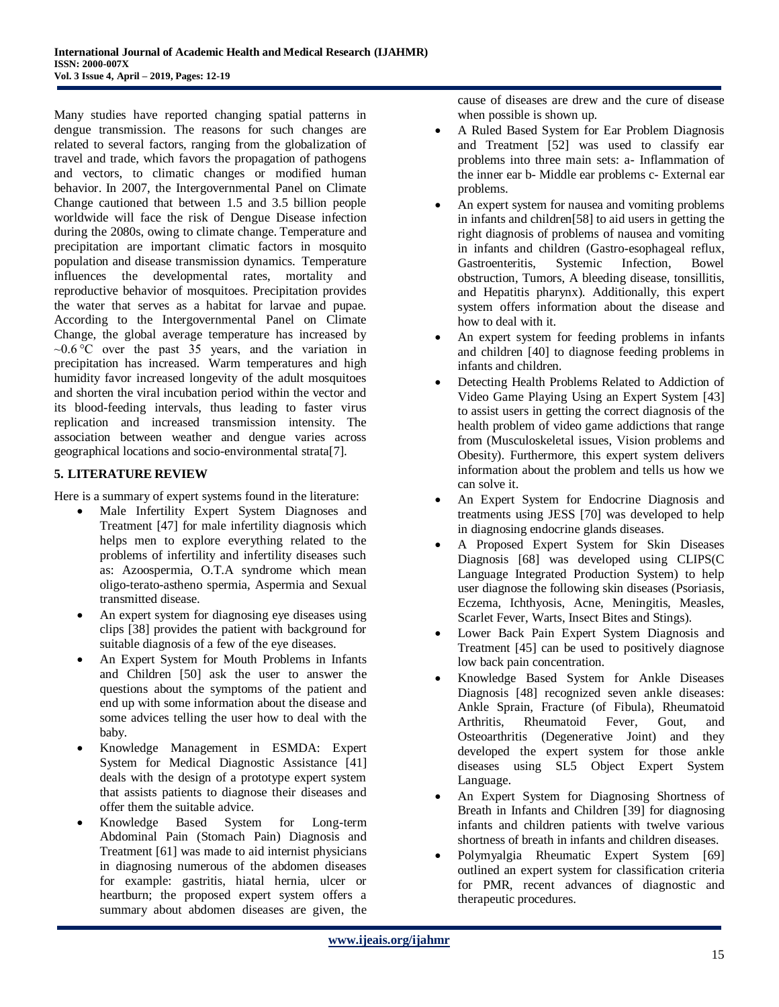Many studies have reported changing spatial patterns in dengue transmission. The reasons for such changes are related to several factors, ranging from the globalization of travel and trade, which favors the propagation of pathogens and vectors, to climatic changes or modified human behavior. In 2007, the Intergovernmental Panel on Climate Change cautioned that between 1.5 and 3.5 billion people worldwide will face the risk of Dengue Disease infection during the 2080s, owing to climate change. Temperature and precipitation are important climatic factors in mosquito population and disease transmission dynamics. Temperature influences the developmental rates, mortality and reproductive behavior of mosquitoes. Precipitation provides the water that serves as a habitat for larvae and pupae. According to the Intergovernmental Panel on Climate Change, the global average temperature has increased by  $\sim 0.6$ <sup>o</sup>C over the past 35 years, and the variation in precipitation has increased. Warm temperatures and high humidity favor increased longevity of the adult mosquitoes and shorten the viral incubation period within the vector and its blood-feeding intervals, thus leading to faster virus replication and increased transmission intensity. The association between weather and dengue varies across geographical locations and socio-environmental strata[7].

## **5. LITERATURE REVIEW**

Here is a summary of expert systems found in the literature:

- Male Infertility Expert System Diagnoses and Treatment [47] for male infertility diagnosis which helps men to explore everything related to the problems of infertility and infertility diseases such as: Azoospermia, O.T.A syndrome which mean oligo-terato-astheno spermia, Aspermia and Sexual transmitted disease.
- An expert system for diagnosing eye diseases using clips [38] provides the patient with background for suitable diagnosis of a few of the eye diseases.
- An Expert System for Mouth Problems in Infants and Children [50] ask the user to answer the questions about the symptoms of the patient and end up with some information about the disease and some advices telling the user how to deal with the baby.
- Knowledge Management in ESMDA: Expert System for Medical Diagnostic Assistance [41] deals with the design of a prototype expert system that assists patients to diagnose their diseases and offer them the suitable advice.
- Knowledge Based System for Long-term Abdominal Pain (Stomach Pain) Diagnosis and Treatment [61] was made to aid internist physicians in diagnosing numerous of the abdomen diseases for example: gastritis, hiatal hernia, ulcer or heartburn; the proposed expert system offers a summary about abdomen diseases are given, the

cause of diseases are drew and the cure of disease when possible is shown up.

- A Ruled Based System for Ear Problem Diagnosis and Treatment [52] was used to classify ear problems into three main sets: a- Inflammation of the inner ear b- Middle ear problems c- External ear problems.
- An expert system for nausea and vomiting problems in infants and children[58] to aid users in getting the right diagnosis of problems of nausea and vomiting in infants and children (Gastro-esophageal reflux, Gastroenteritis, Systemic Infection, Bowel obstruction, Tumors, A bleeding disease, tonsillitis, and Hepatitis pharynx). Additionally, this expert system offers information about the disease and how to deal with it.
- An expert system for feeding problems in infants and children [40] to diagnose feeding problems in infants and children.
- Detecting Health Problems Related to Addiction of Video Game Playing Using an Expert System [43] to assist users in getting the correct diagnosis of the health problem of video game addictions that range from (Musculoskeletal issues, Vision problems and Obesity). Furthermore, this expert system delivers information about the problem and tells us how we can solve it.
- An Expert System for Endocrine Diagnosis and treatments using JESS [70] was developed to help in diagnosing endocrine glands diseases.
- A Proposed Expert System for Skin Diseases Diagnosis [68] was developed using CLIPS(C Language Integrated Production System) to help user diagnose the following skin diseases (Psoriasis, Eczema, Ichthyosis, Acne, Meningitis, Measles, Scarlet Fever, Warts, Insect Bites and Stings).
- Lower Back Pain Expert System Diagnosis and Treatment [45] can be used to positively diagnose low back pain concentration.
- Knowledge Based System for Ankle Diseases Diagnosis [48] recognized seven ankle diseases: Ankle Sprain, Fracture (of Fibula), Rheumatoid Arthritis, Rheumatoid Fever, Gout, and Osteoarthritis (Degenerative Joint) and they developed the expert system for those ankle diseases using SL5 Object Expert System Language.
- An Expert System for Diagnosing Shortness of Breath in Infants and Children [39] for diagnosing infants and children patients with twelve various shortness of breath in infants and children diseases.
- Polymyalgia Rheumatic Expert System [69] outlined an expert system for classification criteria for PMR, recent advances of diagnostic and therapeutic procedures.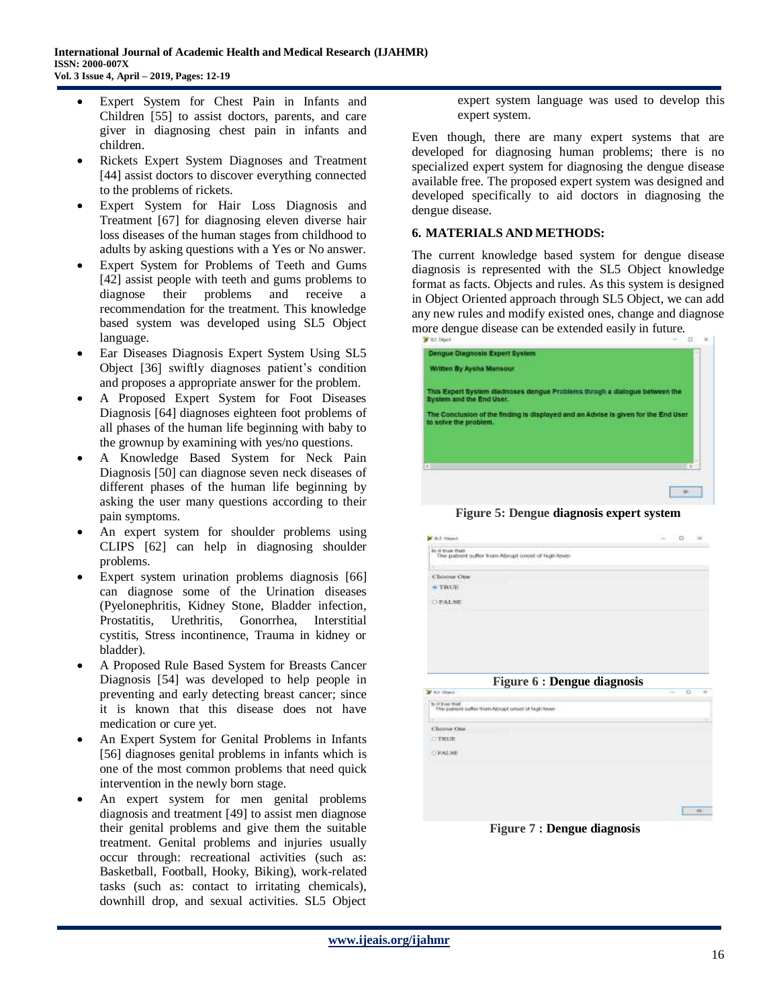- Expert System for Chest Pain in Infants and Children [55] to assist doctors, parents, and care giver in diagnosing chest pain in infants and children.
- Rickets Expert System Diagnoses and Treatment [44] assist doctors to discover everything connected to the problems of rickets.
- Expert System for Hair Loss Diagnosis and Treatment [67] for diagnosing eleven diverse hair loss diseases of the human stages from childhood to adults by asking questions with a Yes or No answer.
- Expert System for Problems of Teeth and Gums [42] assist people with teeth and gums problems to diagnose their problems and receive a recommendation for the treatment. This knowledge based system was developed using SL5 Object language.
- Ear Diseases Diagnosis Expert System Using SL5 Object [36] swiftly diagnoses patient's condition and proposes a appropriate answer for the problem.
- A Proposed Expert System for Foot Diseases Diagnosis [64] diagnoses eighteen foot problems of all phases of the human life beginning with baby to the grownup by examining with yes/no questions.
- A Knowledge Based System for Neck Pain Diagnosis [50] can diagnose seven neck diseases of different phases of the human life beginning by asking the user many questions according to their pain symptoms.
- An expert system for shoulder problems using CLIPS [62] can help in diagnosing shoulder problems.
- Expert system urination problems diagnosis [66] can diagnose some of the Urination diseases (Pyelonephritis, Kidney Stone, Bladder infection, Prostatitis, Urethritis, Gonorrhea, Interstitial cystitis, Stress incontinence, Trauma in kidney or bladder).
- A Proposed Rule Based System for Breasts Cancer Diagnosis [54] was developed to help people in preventing and early detecting breast cancer; since it is known that this disease does not have medication or cure yet.
- An Expert System for Genital Problems in Infants [56] diagnoses genital problems in infants which is one of the most common problems that need quick intervention in the newly born stage.
- An expert system for men genital problems diagnosis and treatment [49] to assist men diagnose their genital problems and give them the suitable treatment. Genital problems and injuries usually occur through: recreational activities (such as: Basketball, Football, Hooky, Biking), work-related tasks (such as: contact to irritating chemicals), downhill drop, and sexual activities. SL5 Object

expert system language was used to develop this expert system.

Even though, there are many expert systems that are developed for diagnosing human problems; there is no specialized expert system for diagnosing the dengue disease available free. The proposed expert system was designed and developed specifically to aid doctors in diagnosing the dengue disease.

## **6. MATERIALS AND METHODS:**

The current knowledge based system for dengue disease diagnosis is represented with the SL5 Object knowledge format as facts. Objects and rules. As this system is designed in Object Oriented approach through SL5 Object, we can add any new rules and modify existed ones, change and diagnose more dengue disease can be extended easily in future.

| ------                                                                                                      |  |
|-------------------------------------------------------------------------------------------------------------|--|
| Dengue Diagnosis Expert System                                                                              |  |
| Wilten By Aysha Mansour                                                                                     |  |
| This Expert System diadnoses dengue Problems throgh a dialogue between the<br>Bystem and the End User.      |  |
| The Conclusion of the finding is displayed and an Advise is given for the End User<br>to solve the problem. |  |
|                                                                                                             |  |
| e.                                                                                                          |  |
|                                                                                                             |  |
|                                                                                                             |  |

**Figure 5: Dengue diagnosis expert system**



**Figure 7 : Dengue diagnosis**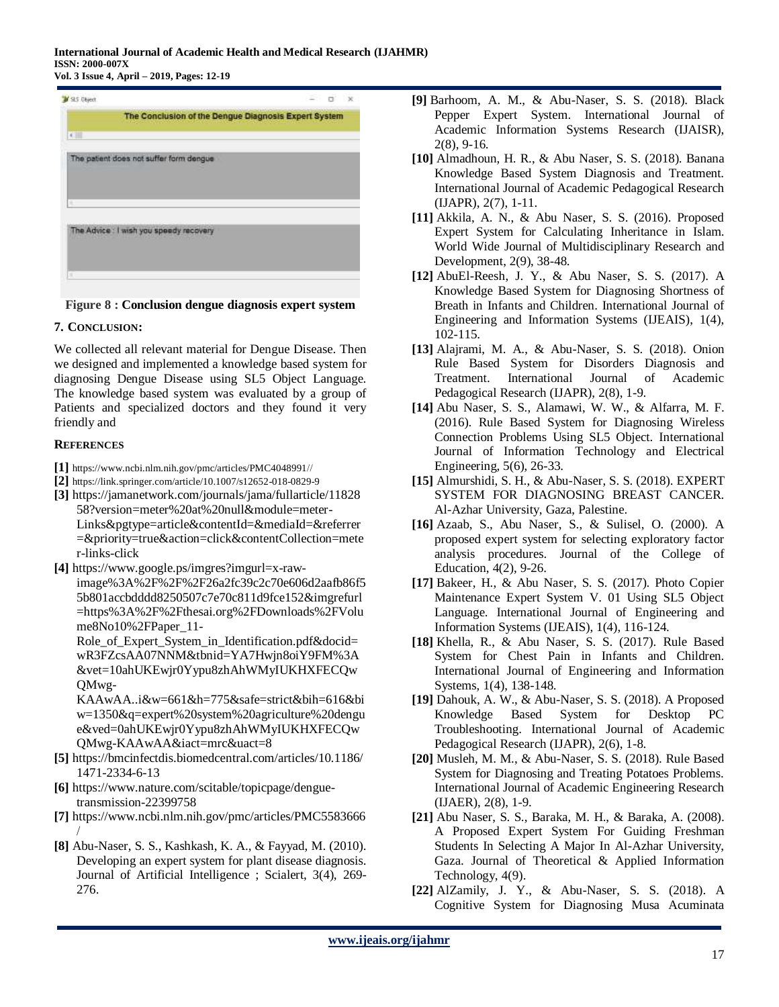

**Figure 8 : Conclusion dengue diagnosis expert system**

# **7. CONCLUSION:**

We collected all relevant material for Dengue Disease. Then we designed and implemented a knowledge based system for diagnosing Dengue Disease using SL5 Object Language. The knowledge based system was evaluated by a group of Patients and specialized doctors and they found it very friendly and

## **REFERENCES**

- **[1]** [https://www.ncbi.nlm.nih.gov/pmc/articles/PMC4048991//](https://www.ncbi.nlm.nih.gov/pmc/articles/PMC4048991/)
- **[2]** <https://link.springer.com/article/10.1007/s12652-018-0829-9>
- **[3]** https://jamanetwork.com/journals/jama/fullarticle/11828 58?version=meter%20at%20null&module=meter-Links&pgtype=article&contentId=&mediaId=&referrer =&priority=true&action=click&contentCollection=mete r-links-click
- **[4]** https://www.google.ps/imgres?imgurl=x-rawimage%3A%2F%2F%2F26a2fc39c2c70e606d2aafb86f5 5b801accbdddd8250507c7e70c811d9fce152&imgrefurl =https%3A%2F%2Fthesai.org%2FDownloads%2FVolu me8No10%2FPaper\_11-

Role of Expert System in Identification.pdf&docid= wR3FZcsAA07NNM&tbnid=YA7Hwjn8oiY9FM%3A &vet=10ahUKEwjr0Yypu8zhAhWMyIUKHXFECQw QMwg-

KAAwAA..i&w=661&h=775&safe=strict&bih=616&bi w=1350&q=expert%20system%20agriculture%20dengu e&ved=0ahUKEwjr0Yypu8zhAhWMyIUKHXFECQw QMwg-KAAwAA&iact=mrc&uact=8

- **[5]** https://bmcinfectdis.biomedcentral.com/articles/10.1186/ 1471-2334-6-13
- **[6]** https://www.nature.com/scitable/topicpage/denguetransmission-22399758
- **[7]** https://www.ncbi.nlm.nih.gov/pmc/articles/PMC5583666 /
- **[8]** Abu-Naser, S. S., Kashkash, K. A., & Fayyad, M. (2010). Developing an expert system for plant disease diagnosis. Journal of Artificial Intelligence ; Scialert, 3(4), 269- 276.
- **[9]** Barhoom, A. M., & Abu-Naser, S. S. (2018). Black Pepper Expert System. International Journal of Academic Information Systems Research (IJAISR), 2(8), 9-16.
- **[10]** Almadhoun, H. R., & Abu Naser, S. S. (2018). Banana Knowledge Based System Diagnosis and Treatment. International Journal of Academic Pedagogical Research (IJAPR), 2(7), 1-11.
- **[11]** Akkila, A. N., & Abu Naser, S. S. (2016). Proposed Expert System for Calculating Inheritance in Islam. World Wide Journal of Multidisciplinary Research and Development, 2(9), 38-48.
- **[12]** AbuEl-Reesh, J. Y., & Abu Naser, S. S. (2017). A Knowledge Based System for Diagnosing Shortness of Breath in Infants and Children. International Journal of Engineering and Information Systems (IJEAIS), 1(4), 102-115.
- **[13]** Alajrami, M. A., & Abu-Naser, S. S. (2018). Onion Rule Based System for Disorders Diagnosis and Treatment. International Journal of Academic Pedagogical Research (IJAPR), 2(8), 1-9.
- **[14]** Abu Naser, S. S., Alamawi, W. W., & Alfarra, M. F. (2016). Rule Based System for Diagnosing Wireless Connection Problems Using SL5 Object. International Journal of Information Technology and Electrical Engineering, 5(6), 26-33.
- **[15]** Almurshidi, S. H., & Abu-Naser, S. S. (2018). EXPERT SYSTEM FOR DIAGNOSING BREAST CANCER. Al-Azhar University, Gaza, Palestine.
- **[16]** Azaab, S., Abu Naser, S., & Sulisel, O. (2000). A proposed expert system for selecting exploratory factor analysis procedures. Journal of the College of Education, 4(2), 9-26.
- **[17]** Bakeer, H., & Abu Naser, S. S. (2017). Photo Copier Maintenance Expert System V. 01 Using SL5 Object Language. International Journal of Engineering and Information Systems (IJEAIS), 1(4), 116-124.
- **[18]** Khella, R., & Abu Naser, S. S. (2017). Rule Based System for Chest Pain in Infants and Children. International Journal of Engineering and Information Systems, 1(4), 138-148.
- **[19]** Dahouk, A. W., & Abu-Naser, S. S. (2018). A Proposed Knowledge Based System for Desktop PC Troubleshooting. International Journal of Academic Pedagogical Research (IJAPR), 2(6), 1-8.
- **[20]** Musleh, M. M., & Abu-Naser, S. S. (2018). Rule Based System for Diagnosing and Treating Potatoes Problems. International Journal of Academic Engineering Research (IJAER), 2(8), 1-9.
- **[21]** Abu Naser, S. S., Baraka, M. H., & Baraka, A. (2008). A Proposed Expert System For Guiding Freshman Students In Selecting A Major In Al-Azhar University, Gaza. Journal of Theoretical & Applied Information Technology, 4(9).
- **[22]** AlZamily, J. Y., & Abu-Naser, S. S. (2018). A Cognitive System for Diagnosing Musa Acuminata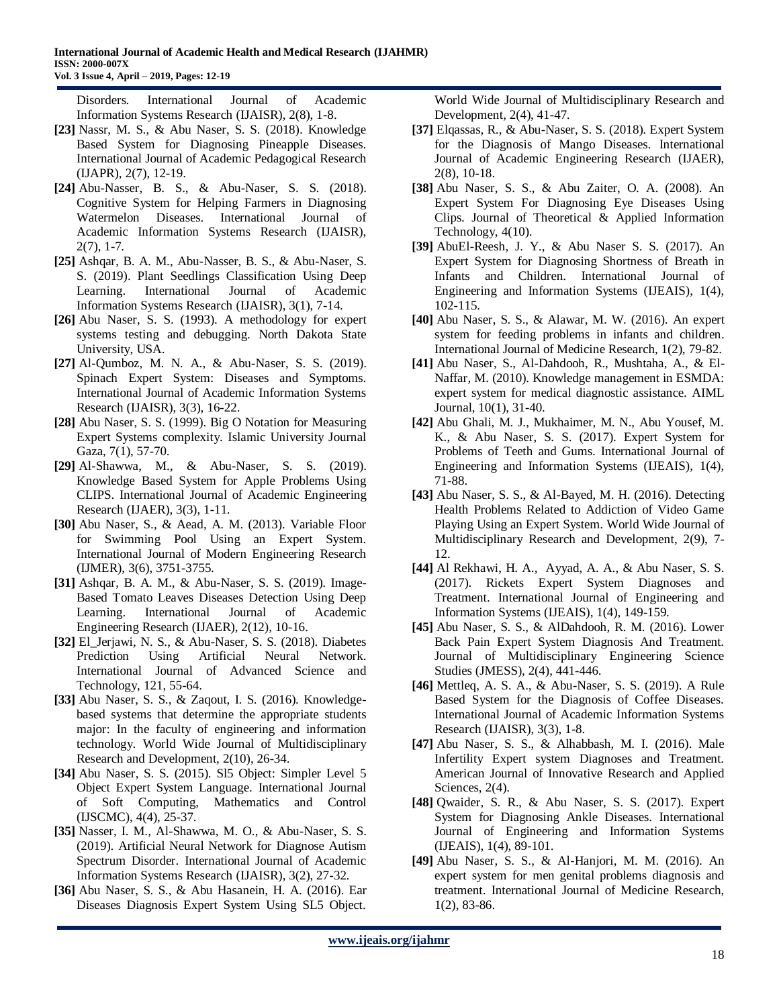Disorders. International Journal of Academic Information Systems Research (IJAISR), 2(8), 1-8.

- **[23]** Nassr, M. S., & Abu Naser, S. S. (2018). Knowledge Based System for Diagnosing Pineapple Diseases. International Journal of Academic Pedagogical Research (IJAPR), 2(7), 12-19.
- **[24]** Abu-Nasser, B. S., & Abu-Naser, S. S. (2018). Cognitive System for Helping Farmers in Diagnosing Watermelon Diseases. International Journal of Academic Information Systems Research (IJAISR),  $2(7)$ , 1-7.
- **[25]** Ashqar, B. A. M., Abu-Nasser, B. S., & Abu-Naser, S. S. (2019). Plant Seedlings Classification Using Deep Learning. International Journal of Academic Information Systems Research (IJAISR), 3(1), 7-14.
- **[26]** Abu Naser, S. S. (1993). A methodology for expert systems testing and debugging. North Dakota State University, USA.
- **[27]** Al-Qumboz, M. N. A., & Abu-Naser, S. S. (2019). Spinach Expert System: Diseases and Symptoms. International Journal of Academic Information Systems Research (IJAISR), 3(3), 16-22.
- **[28]** Abu Naser, S. S. (1999). Big O Notation for Measuring Expert Systems complexity. Islamic University Journal Gaza, 7(1), 57-70.
- **[29]** Al-Shawwa, M., & Abu-Naser, S. S. (2019). Knowledge Based System for Apple Problems Using CLIPS. International Journal of Academic Engineering Research (IJAER), 3(3), 1-11.
- **[30]** Abu Naser, S., & Aead, A. M. (2013). Variable Floor for Swimming Pool Using an Expert System. International Journal of Modern Engineering Research (IJMER), 3(6), 3751-3755.
- **[31]** Ashqar, B. A. M., & Abu-Naser, S. S. (2019). Image-Based Tomato Leaves Diseases Detection Using Deep Learning. International Journal of Academic Engineering Research (IJAER), 2(12), 10-16.
- **[32]** El\_Jerjawi, N. S., & Abu-Naser, S. S. (2018). Diabetes Prediction Using Artificial Neural Network. International Journal of Advanced Science and Technology, 121, 55-64.
- **[33]** Abu Naser, S. S., & Zaqout, I. S. (2016). Knowledgebased systems that determine the appropriate students major: In the faculty of engineering and information technology. World Wide Journal of Multidisciplinary Research and Development, 2(10), 26-34.
- **[34]** Abu Naser, S. S. (2015). Sl5 Object: Simpler Level 5 Object Expert System Language. International Journal of Soft Computing, Mathematics and Control (IJSCMC), 4(4), 25-37.
- **[35]** Nasser, I. M., Al-Shawwa, M. O., & Abu-Naser, S. S. (2019). Artificial Neural Network for Diagnose Autism Spectrum Disorder. International Journal of Academic Information Systems Research (IJAISR), 3(2), 27-32.
- **[36]** Abu Naser, S. S., & Abu Hasanein, H. A. (2016). Ear Diseases Diagnosis Expert System Using SL5 Object.

World Wide Journal of Multidisciplinary Research and Development, 2(4), 41-47.

- **[37]** Elqassas, R., & Abu-Naser, S. S. (2018). Expert System for the Diagnosis of Mango Diseases. International Journal of Academic Engineering Research (IJAER), 2(8), 10-18.
- **[38]** Abu Naser, S. S., & Abu Zaiter, O. A. (2008). An Expert System For Diagnosing Eye Diseases Using Clips. Journal of Theoretical & Applied Information Technology, 4(10).
- **[39]** AbuEl-Reesh, J. Y., & Abu Naser S. S. (2017). An Expert System for Diagnosing Shortness of Breath in Infants and Children. International Journal of Engineering and Information Systems (IJEAIS), 1(4), 102-115.
- **[40]** Abu Naser, S. S., & Alawar, M. W. (2016). [An expert](https://scholar.google.com/citations?view_op=view_citation&hl=en&user=-AgiPYoAAAAJ&cstart=20&pagesize=80&sortby=pubdate&citation_for_view=-AgiPYoAAAAJ:8gBurD7jEYQC)  [system for feeding problems in infants and children.](https://scholar.google.com/citations?view_op=view_citation&hl=en&user=-AgiPYoAAAAJ&cstart=20&pagesize=80&sortby=pubdate&citation_for_view=-AgiPYoAAAAJ:8gBurD7jEYQC) International Journal of Medicine Research, 1(2), 79-82.
- **[41]** Abu Naser, S., Al-Dahdooh, R., Mushtaha, A., & El-Naffar, M. (2010). Knowledge management in ESMDA: expert system for medical diagnostic assistance. AIML Journal, 10(1), 31-40.
- **[42]** Abu Ghali, M. J., Mukhaimer, M. N., Abu Yousef, M. K., & Abu Naser, S. S. (2017). Expert System for Problems of Teeth and Gums. International Journal of Engineering and Information Systems (IJEAIS), 1(4), 71-88.
- **[43]** Abu Naser, S. S., & Al-Bayed, M. H. (2016). Detecting Health Problems Related to Addiction of Video Game Playing Using an Expert System. World Wide Journal of Multidisciplinary Research and Development, 2(9), 7- 12.
- **[44]** Al Rekhawi, H. A., Ayyad, A. A., & Abu Naser, S. S. (2017). Rickets Expert System Diagnoses and Treatment. International Journal of Engineering and Information Systems (IJEAIS), 1(4), 149-159.
- **[45]** Abu Naser, S. S., & AlDahdooh, R. M. (2016). Lower Back Pain Expert System Diagnosis And Treatment. Journal of Multidisciplinary Engineering Science Studies (JMESS), 2(4), 441-446.
- **[46]** Mettleq, A. S. A., & Abu-Naser, S. S. (2019). A Rule Based System for the Diagnosis of Coffee Diseases. International Journal of Academic Information Systems Research (IJAISR), 3(3), 1-8.
- **[47]** Abu Naser, S. S., & Alhabbash, M. I. (2016). Male Infertility Expert system Diagnoses and Treatment. American Journal of Innovative Research and Applied Sciences, 2(4).
- **[48]** Qwaider, S. R., & Abu Naser, S. S. (2017). Expert System for Diagnosing Ankle Diseases. International Journal of Engineering and Information Systems (IJEAIS), 1(4), 89-101.
- **[49]** Abu Naser, S. S., & Al-Hanjori, M. M. (2016). An expert system for men genital problems diagnosis and treatment. International Journal of Medicine Research, 1(2), 83-86.